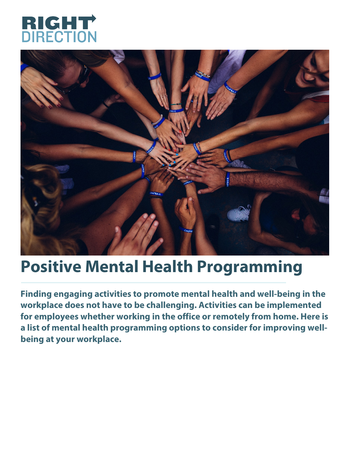



## **Positive Mental Health Programming**

**Finding engaging activities to promote mental health and well-being in the workplace does not have to be challenging. Activities can be implemented for employees whether working in the office or remotely from home. Here is a list of mental health programming options to consider for improving wellbeing at your workplace.**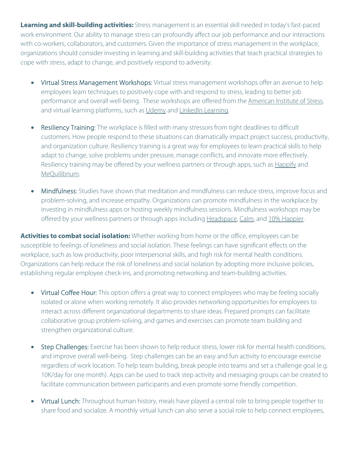**Learning and skill-building activities:** Stress management is an essential skill needed in today's fast-paced work environment. Our ability to manage stress can profoundly affect our job performance and our interactions with co-workers, collaborators, and customers. Given the importance of stress management in the workplace, organizations should consider investing in learning and skill-building activities that teach practical strategies to cope with stress, adapt to change, and positively respond to adversity.

- Virtual Stress Management Workshops: Virtual stress management workshops offer an avenue to help employees learn techniques to positively cope with and respond to stress, leading to better job performance and overall well-being. These workshops are offered from the [American](https://www.stress.org/education/online-classes) Institute of Stress, and virtual learning platforms, such as [Udemy](https://www.udemy.com/courses/personal-development/stress-management/) and LinkedIn [Learning.](http://www.linkedin.com/learning/)
- Resiliency Training: The workplace is filled with many stressors from tight deadlines to difficult customers. How people respond to these situations can dramatically impact project success, productivity, and organization culture. Resiliency training is a great way for employees to learn practical skills to help adapt to change, solve problems under pressure, manage conflicts, and innovate more effectively. Resiliency training may be offered by your wellness partners or through apps, such as [Happify](http://www.happify.com/) and [MeQuilibrium.](https://www.mequilibrium.com/)
- Mindfulness: Studies have shown that meditation and mindfulness can reduce stress, improve focus and problem-solving, and increase empathy. Organizations can promote mindfulness in the workplace by investing in mindfulness apps or hosting weekly mindfulness sessions. Mindfulness workshops may be offered by your wellness partners or through apps including [Headspace,](http://www.headspace.com/) [Calm,](http://www.calm.com/) and 10% [Happier.](http://www.tenpercent.com/)

**Activities to combat social isolation:** Whether working from home or the office, employees can be susceptible to feelings of loneliness and social isolation. These feelings can have significant effects on the workplace, such as low productivity, poor interpersonal skills, and high risk for mental health conditions. Organizations can help reduce the risk of loneliness and social isolation by adopting more inclusive policies, establishing regular employee check-ins, and promoting networking and team-building activities.

- Virtual Coffee Hour: This option offers a great way to connect employees who may be feeling socially isolated or alone when working remotely. It also provides networking opportunities for employees to interact across different organizational departments to share ideas. Prepared prompts can facilitate collaborative group problem-solving, and games and exercises can promote team building and strengthen organizational culture.
- Step Challenges: Exercise has been shown to help reduce stress, lower risk for mental health conditions, and improve overall well-being. Step challenges can be an easy and fun activity to encourage exercise regardless of work location. To help team building, break people into teams and set a challenge goal (e.g. 10K/day for one month). Apps can be used to track step activity and messaging groups can be created to facilitate communication between participants and even promote some friendly competition.
- Virtual Lunch: Throughout human history, meals have played a central role to bring people together to share food and socialize. A monthly virtual lunch can also serve a social role to help connect employees,